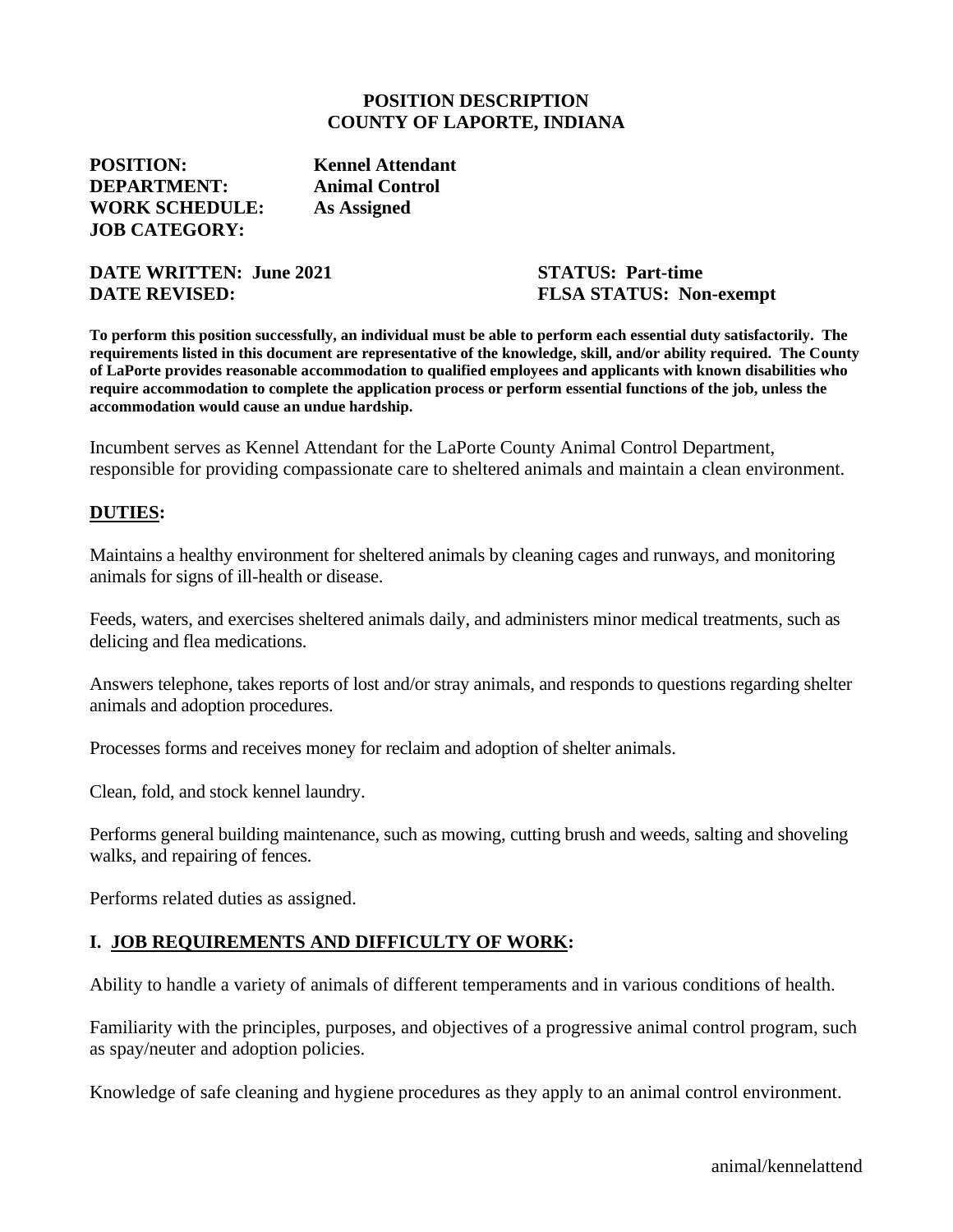#### **POSITION DESCRIPTION COUNTY OF LAPORTE, INDIANA**

**POSITION: Kennel Attendant DEPARTMENT: Animal Control WORK SCHEDULE: As Assigned JOB CATEGORY:**

**DATE WRITTEN: June 2021 STATUS: Part-time DATE REVISED: FLSA STATUS: Non-exempt**

**To perform this position successfully, an individual must be able to perform each essential duty satisfactorily. The requirements listed in this document are representative of the knowledge, skill, and/or ability required. The County of LaPorte provides reasonable accommodation to qualified employees and applicants with known disabilities who require accommodation to complete the application process or perform essential functions of the job, unless the accommodation would cause an undue hardship.**

Incumbent serves as Kennel Attendant for the LaPorte County Animal Control Department, responsible for providing compassionate care to sheltered animals and maintain a clean environment.

#### **DUTIES:**

Maintains a healthy environment for sheltered animals by cleaning cages and runways, and monitoring animals for signs of ill-health or disease.

Feeds, waters, and exercises sheltered animals daily, and administers minor medical treatments, such as delicing and flea medications.

Answers telephone, takes reports of lost and/or stray animals, and responds to questions regarding shelter animals and adoption procedures.

Processes forms and receives money for reclaim and adoption of shelter animals.

Clean, fold, and stock kennel laundry.

Performs general building maintenance, such as mowing, cutting brush and weeds, salting and shoveling walks, and repairing of fences.

Performs related duties as assigned.

### **I. JOB REQUIREMENTS AND DIFFICULTY OF WORK:**

Ability to handle a variety of animals of different temperaments and in various conditions of health.

Familiarity with the principles, purposes, and objectives of a progressive animal control program, such as spay/neuter and adoption policies.

Knowledge of safe cleaning and hygiene procedures as they apply to an animal control environment.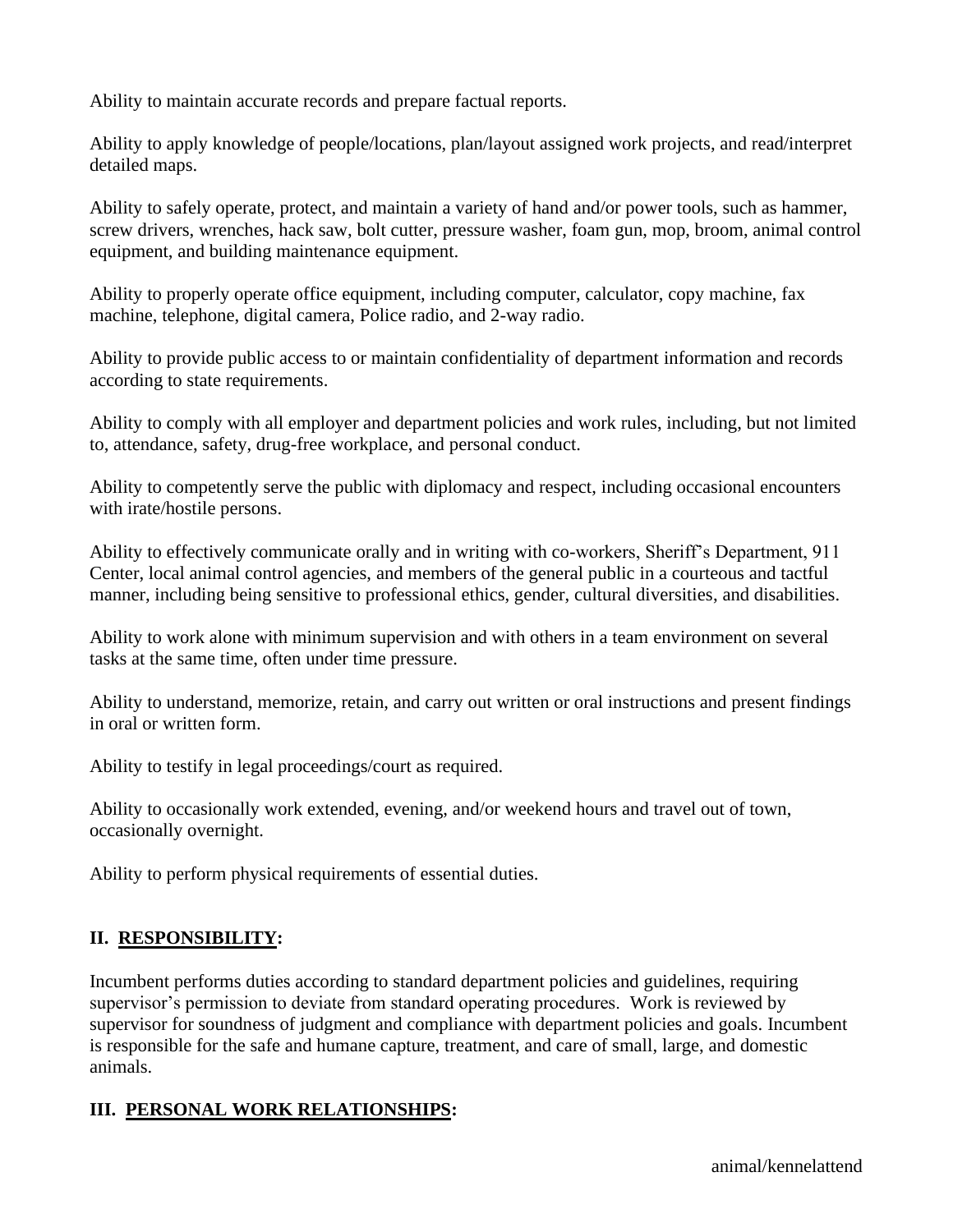Ability to maintain accurate records and prepare factual reports.

Ability to apply knowledge of people/locations, plan/layout assigned work projects, and read/interpret detailed maps.

Ability to safely operate, protect, and maintain a variety of hand and/or power tools, such as hammer, screw drivers, wrenches, hack saw, bolt cutter, pressure washer, foam gun, mop, broom, animal control equipment, and building maintenance equipment.

Ability to properly operate office equipment, including computer, calculator, copy machine, fax machine, telephone, digital camera, Police radio, and 2-way radio.

Ability to provide public access to or maintain confidentiality of department information and records according to state requirements.

Ability to comply with all employer and department policies and work rules, including, but not limited to, attendance, safety, drug-free workplace, and personal conduct.

Ability to competently serve the public with diplomacy and respect, including occasional encounters with irate/hostile persons.

Ability to effectively communicate orally and in writing with co-workers, Sheriff's Department, 911 Center, local animal control agencies, and members of the general public in a courteous and tactful manner, including being sensitive to professional ethics, gender, cultural diversities, and disabilities.

Ability to work alone with minimum supervision and with others in a team environment on several tasks at the same time, often under time pressure.

Ability to understand, memorize, retain, and carry out written or oral instructions and present findings in oral or written form.

Ability to testify in legal proceedings/court as required.

Ability to occasionally work extended, evening, and/or weekend hours and travel out of town, occasionally overnight.

Ability to perform physical requirements of essential duties.

## **II. RESPONSIBILITY:**

Incumbent performs duties according to standard department policies and guidelines, requiring supervisor's permission to deviate from standard operating procedures. Work is reviewed by supervisor for soundness of judgment and compliance with department policies and goals. Incumbent is responsible for the safe and humane capture, treatment, and care of small, large, and domestic animals.

## **III. PERSONAL WORK RELATIONSHIPS:**